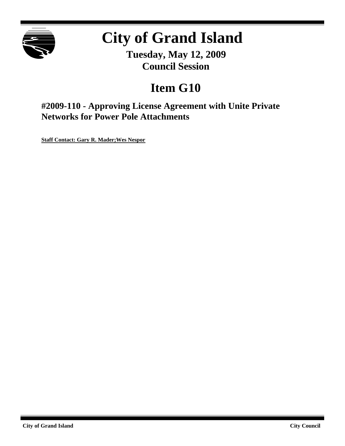

# **City of Grand Island**

**Tuesday, May 12, 2009 Council Session**

# **Item G10**

**#2009-110 - Approving License Agreement with Unite Private Networks for Power Pole Attachments**

**Staff Contact: Gary R. Mader;Wes Nespor**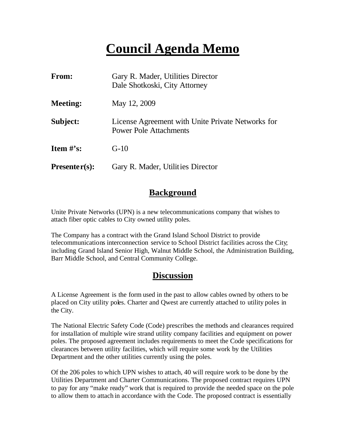# **Council Agenda Memo**

| <b>From:</b>    | Gary R. Mader, Utilities Director<br>Dale Shotkoski, City Attorney                 |
|-----------------|------------------------------------------------------------------------------------|
| <b>Meeting:</b> | May 12, 2009                                                                       |
| Subject:        | License Agreement with Unite Private Networks for<br><b>Power Pole Attachments</b> |
| Item $#$ 's:    | $G-10$                                                                             |
| $Presenter(s):$ | Gary R. Mader, Utilities Director                                                  |

## **Background**

Unite Private Networks (UPN) is a new telecommunications company that wishes to attach fiber optic cables to City owned utility poles.

The Company has a contract with the Grand Island School District to provide telecommunications interconnection service to School District facilities across the City; including Grand Island Senior High, Walnut Middle School, the Administration Building, Barr Middle School, and Central Community College.

# **Discussion**

A License Agreement is the form used in the past to allow cables owned by others to be placed on City utility poles. Charter and Qwest are currently attached to utility poles in the City.

The National Electric Safety Code (Code) prescribes the methods and clearances required for installation of multiple wire strand utility company facilities and equipment on power poles. The proposed agreement includes requirements to meet the Code specifications for clearances between utility facilities, which will require some work by the Utilities Department and the other utilities currently using the poles.

Of the 206 poles to which UPN wishes to attach, 40 will require work to be done by the Utilities Department and Charter Communications. The proposed contract requires UPN to pay for any "make ready" work that is required to provide the needed space on the pole to allow them to attach in accordance with the Code. The proposed contract is essentially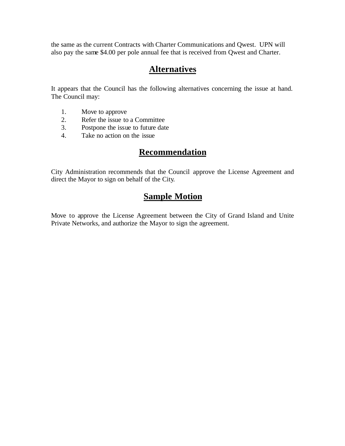the same as the current Contracts with Charter Communications and Qwest. UPN will also pay the same \$4.00 per pole annual fee that is received from Qwest and Charter.

# **Alternatives**

It appears that the Council has the following alternatives concerning the issue at hand. The Council may:

- 1. Move to approve
- 2. Refer the issue to a Committee<br>3. Postpone the issue to future date
- Postpone the issue to future date
- 4. Take no action on the issue

# **Recommendation**

City Administration recommends that the Council approve the License Agreement and direct the Mayor to sign on behalf of the City.

# **Sample Motion**

Move to approve the License Agreement between the City of Grand Island and Unite Private Networks, and authorize the Mayor to sign the agreement.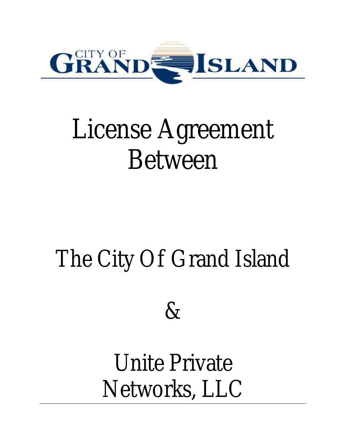

# License Agreement Between

# The City Of Grand Island



# Unite Private Networks, LLC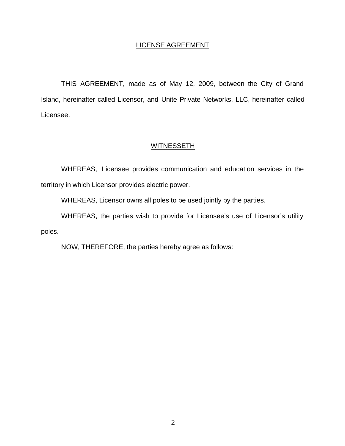#### LICENSE AGREEMENT

THIS AGREEMENT, made as of May 12, 2009, between the City of Grand Island, hereinafter called Licensor, and Unite Private Networks, LLC, hereinafter called Licensee.

#### **WITNESSETH**

WHEREAS, Licensee provides communication and education services in the territory in which Licensor provides electric power.

WHEREAS, Licensor owns all poles to be used jointly by the parties.

WHEREAS, the parties wish to provide for Licensee's use of Licensor's utility poles.

NOW, THEREFORE, the parties hereby agree as follows: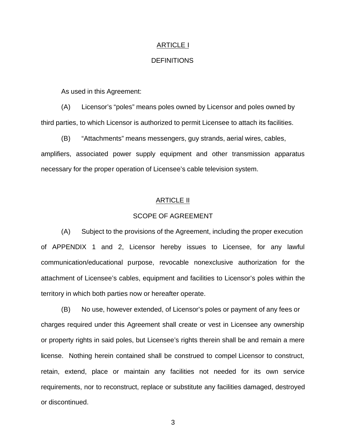#### ARTICLE I

#### **DEFINITIONS**

As used in this Agreement:

(A) Licensor's "poles" means poles owned by Licensor and poles owned by third parties, to which Licensor is authorized to permit Licensee to attach its facilities.

(B) "Attachments" means messengers, guy strands, aerial wires, cables, amplifiers, associated power supply equipment and other transmission apparatus necessary for the proper operation of Licensee's cable television system.

#### ARTICLE II

#### SCOPE OF AGREEMENT

(A) Subject to the provisions of the Agreement, including the proper execution of APPENDIX 1 and 2, Licensor hereby issues to Licensee, for any lawful communication/educational purpose, revocable nonexclusive authorization for the attachment of Licensee's cables, equipment and facilities to Licensor's poles within the territory in which both parties now or hereafter operate.

(B) No use, however extended, of Licensor's poles or payment of any fees or charges required under this Agreement shall create or vest in Licensee any ownership or property rights in said poles, but Licensee's rights therein shall be and remain a mere license. Nothing herein contained shall be construed to compel Licensor to construct, retain, extend, place or maintain any facilities not needed for its own service requirements, nor to reconstruct, replace or substitute any facilities damaged, destroyed or discontinued.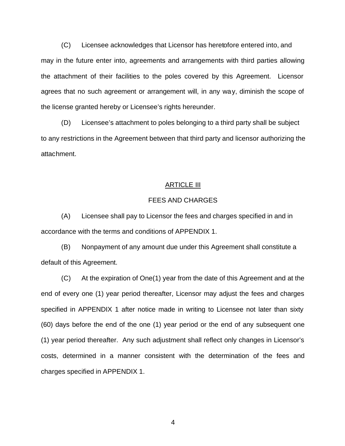(C) Licensee acknowledges that Licensor has heretofore entered into, and may in the future enter into, agreements and arrangements with third parties allowing the attachment of their facilities to the poles covered by this Agreement. Licensor agrees that no such agreement or arrangement will, in any way, diminish the scope of the license granted hereby or Licensee's rights hereunder.

(D) Licensee's attachment to poles belonging to a third party shall be subject to any restrictions in the Agreement between that third party and licensor authorizing the attachment.

#### ARTICLE III

#### FEES AND CHARGES

(A) Licensee shall pay to Licensor the fees and charges specified in and in accordance with the terms and conditions of APPENDIX 1.

(B) Nonpayment of any amount due under this Agreement shall constitute a default of this Agreement.

(C) At the expiration of One(1) year from the date of this Agreement and at the end of every one (1) year period thereafter, Licensor may adjust the fees and charges specified in APPENDIX 1 after notice made in writing to Licensee not later than sixty (60) days before the end of the one (1) year period or the end of any subsequent one (1) year period thereafter. Any such adjustment shall reflect only changes in Licensor's costs, determined in a manner consistent with the determination of the fees and charges specified in APPENDIX 1.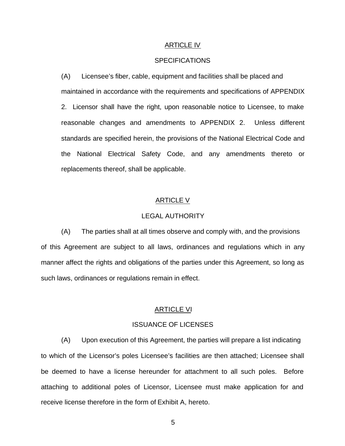#### ARTICLE IV

#### **SPECIFICATIONS**

(A) Licensee's fiber, cable, equipment and facilities shall be placed and maintained in accordance with the requirements and specifications of APPENDIX 2. Licensor shall have the right, upon reasonable notice to Licensee, to make reasonable changes and amendments to APPENDIX 2. Unless different standards are specified herein, the provisions of the National Electrical Code and the National Electrical Safety Code, and any amendments thereto or replacements thereof, shall be applicable.

#### ARTICLE V

#### LEGAL AUTHORITY

(A) The parties shall at all times observe and comply with, and the provisions of this Agreement are subject to all laws, ordinances and regulations which in any manner affect the rights and obligations of the parties under this Agreement, so long as such laws, ordinances or regulations remain in effect.

#### ARTICLE VI

#### ISSUANCE OF LICENSES

(A) Upon execution of this Agreement, the parties will prepare a list indicating to which of the Licensor's poles Licensee's facilities are then attached; Licensee shall be deemed to have a license hereunder for attachment to all such poles. Before attaching to additional poles of Licensor, Licensee must make application for and receive license therefore in the form of Exhibit A, hereto.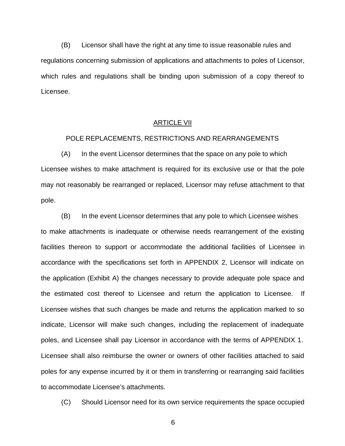(B) Licensor shall have the right at any time to issue reasonable rules and regulations concerning submission of applications and attachments to poles of Licensor, which rules and regulations shall be binding upon submission of a copy thereof to Licensee.

#### ARTICLE VII

#### POLE REPLACEMENTS, RESTRICTIONS AND REARRANGEMENTS

(A) In the event Licensor determines that the space on any pole to which Licensee wishes to make attachment is required for its exclusive use or that the pole may not reasonably be rearranged or replaced, Licensor may refuse attachment to that pole.

(B) In the event Licensor determines that any pole to which Licensee wishes to make attachments is inadequate or otherwise needs rearrangement of the existing facilities thereon to support or accommodate the additional facilities of Licensee in accordance with the specifications set forth in APPENDIX 2, Licensor will indicate on the application (Exhibit A) the changes necessary to provide adequate pole space and the estimated cost thereof to Licensee and return the application to Licensee. If Licensee wishes that such changes be made and returns the application marked to so indicate, Licensor will make such changes, including the replacement of inadequate poles, and Licensee shall pay Licensor in accordance with the terms of APPENDIX 1. Licensee shall also reimburse the owner or owners of other facilities attached to said poles for any expense incurred by it or them in transferring or rearranging said facilities to accommodate Licensee's attachments.

(C) Should Licensor need for its own service requirements the space occupied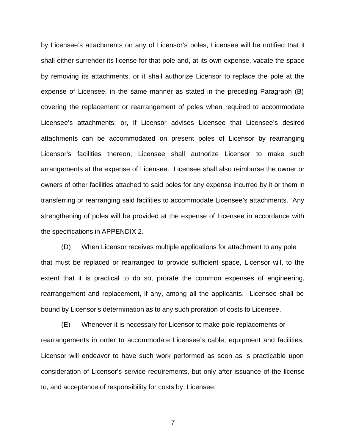by Licensee's attachments on any of Licensor's poles, Licensee will be notified that it shall either surrender its license for that pole and, at its own expense, vacate the space by removing its attachments, or it shall authorize Licensor to replace the pole at the expense of Licensee, in the same manner as stated in the preceding Paragraph (B) covering the replacement or rearrangement of poles when required to accommodate Licensee's attachments; or, if Licensor advises Licensee that Licensee's desired attachments can be accommodated on present poles of Licensor by rearranging Licensor's facilities thereon, Licensee shall authorize Licensor to make such arrangements at the expense of Licensee. Licensee shall also reimburse the owner or owners of other facilities attached to said poles for any expense incurred by it or them in transferring or rearranging said facilities to accommodate Licensee's attachments. Any strengthening of poles will be provided at the expense of Licensee in accordance with the specifications in APPENDIX 2.

(D) When Licensor receives multiple applications for attachment to any pole that must be replaced or rearranged to provide sufficient space, Licensor will, to the extent that it is practical to do so, prorate the common expenses of engineering, rearrangement and replacement, if any, among all the applicants. Licensee shall be bound by Licensor's determination as to any such proration of costs to Licensee.

(E) Whenever it is necessary for Licensor to make pole replacements or rearrangements in order to accommodate Licensee's cable, equipment and facilities, Licensor will endeavor to have such work performed as soon as is practicable upon consideration of Licensor's service requirements, but only after issuance of the license to, and acceptance of responsibility for costs by, Licensee.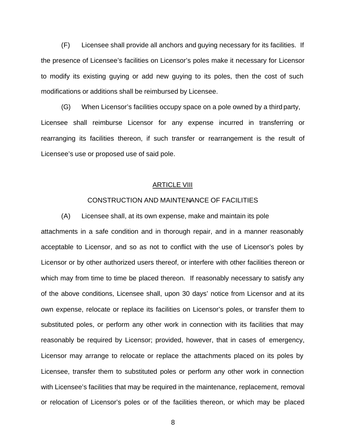(F) Licensee shall provide all anchors and guying necessary for its facilities. If the presence of Licensee's facilities on Licensor's poles make it necessary for Licensor to modify its existing guying or add new guying to its poles, then the cost of such modifications or additions shall be reimbursed by Licensee.

(G) When Licensor's facilities occupy space on a pole owned by a third party, Licensee shall reimburse Licensor for any expense incurred in transferring or rearranging its facilities thereon, if such transfer or rearrangement is the result of Licensee's use or proposed use of said pole.

#### ARTICLE VIII

#### CONSTRUCTION AND MAINTENANCE OF FACILITIES

(A) Licensee shall, at its own expense, make and maintain its pole attachments in a safe condition and in thorough repair, and in a manner reasonably acceptable to Licensor, and so as not to conflict with the use of Licensor's poles by Licensor or by other authorized users thereof, or interfere with other facilities thereon or which may from time to time be placed thereon. If reasonably necessary to satisfy any of the above conditions, Licensee shall, upon 30 days' notice from Licensor and at its own expense, relocate or replace its facilities on Licensor's poles, or transfer them to substituted poles, or perform any other work in connection with its facilities that may reasonably be required by Licensor; provided, however, that in cases of emergency, Licensor may arrange to relocate or replace the attachments placed on its poles by Licensee, transfer them to substituted poles or perform any other work in connection with Licensee's facilities that may be required in the maintenance, replacement, removal or relocation of Licensor's poles or of the facilities thereon, or which may be placed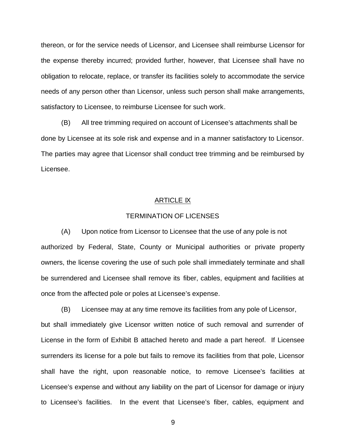thereon, or for the service needs of Licensor, and Licensee shall reimburse Licensor for the expense thereby incurred; provided further, however, that Licensee shall have no obligation to relocate, replace, or transfer its facilities solely to accommodate the service needs of any person other than Licensor, unless such person shall make arrangements, satisfactory to Licensee, to reimburse Licensee for such work.

(B) All tree trimming required on account of Licensee's attachments shall be done by Licensee at its sole risk and expense and in a manner satisfactory to Licensor. The parties may agree that Licensor shall conduct tree trimming and be reimbursed by Licensee.

#### ARTICLE IX

#### TERMINATION OF LICENSES

(A) Upon notice from Licensor to Licensee that the use of any pole is not authorized by Federal, State, County or Municipal authorities or private property owners, the license covering the use of such pole shall immediately terminate and shall be surrendered and Licensee shall remove its fiber, cables, equipment and facilities at once from the affected pole or poles at Licensee's expense.

(B) Licensee may at any time remove its facilities from any pole of Licensor, but shall immediately give Licensor written notice of such removal and surrender of License in the form of Exhibit B attached hereto and made a part hereof. If Licensee surrenders its license for a pole but fails to remove its facilities from that pole, Licensor shall have the right, upon reasonable notice, to remove Licensee's facilities at Licensee's expense and without any liability on the part of Licensor for damage or injury to Licensee's facilities. In the event that Licensee's fiber, cables, equipment and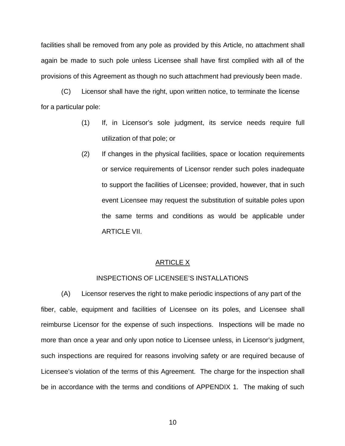facilities shall be removed from any pole as provided by this Article, no attachment shall again be made to such pole unless Licensee shall have first complied with all of the provisions of this Agreement as though no such attachment had previously been made.

(C) Licensor shall have the right, upon written notice, to terminate the license for a particular pole:

- (1) If, in Licensor's sole judgment, its service needs require full utilization of that pole; or
- (2) If changes in the physical facilities, space or location requirements or service requirements of Licensor render such poles inadequate to support the facilities of Licensee; provided, however, that in such event Licensee may request the substitution of suitable poles upon the same terms and conditions as would be applicable under ARTICLE VII.

#### **ARTICLE X**

#### INSPECTIONS OF LICENSEE'S INSTALLATIONS

(A) Licensor reserves the right to make periodic inspections of any part of the fiber, cable, equipment and facilities of Licensee on its poles, and Licensee shall reimburse Licensor for the expense of such inspections. Inspections will be made no more than once a year and only upon notice to Licensee unless, in Licensor's judgment, such inspections are required for reasons involving safety or are required because of Licensee's violation of the terms of this Agreement. The charge for the inspection shall be in accordance with the terms and conditions of APPENDIX 1. The making of such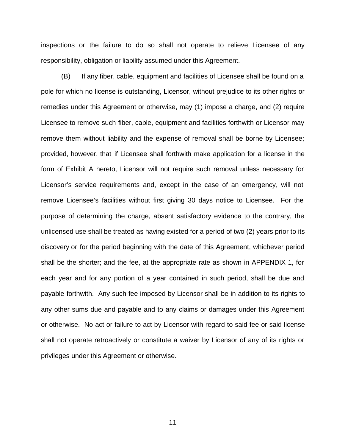inspections or the failure to do so shall not operate to relieve Licensee of any responsibility, obligation or liability assumed under this Agreement.

(B) If any fiber, cable, equipment and facilities of Licensee shall be found on a pole for which no license is outstanding, Licensor, without prejudice to its other rights or remedies under this Agreement or otherwise, may (1) impose a charge, and (2) require Licensee to remove such fiber, cable, equipment and facilities forthwith or Licensor may remove them without liability and the expense of removal shall be borne by Licensee; provided, however, that if Licensee shall forthwith make application for a license in the form of Exhibit A hereto, Licensor will not require such removal unless necessary for Licensor's service requirements and, except in the case of an emergency, will not remove Licensee's facilities without first giving 30 days notice to Licensee. For the purpose of determining the charge, absent satisfactory evidence to the contrary, the unlicensed use shall be treated as having existed for a period of two (2) years prior to its discovery or for the period beginning with the date of this Agreement, whichever period shall be the shorter; and the fee, at the appropriate rate as shown in APPENDIX 1, for each year and for any portion of a year contained in such period, shall be due and payable forthwith. Any such fee imposed by Licensor shall be in addition to its rights to any other sums due and payable and to any claims or damages under this Agreement or otherwise. No act or failure to act by Licensor with regard to said fee or said license shall not operate retroactively or constitute a waiver by Licensor of any of its rights or privileges under this Agreement or otherwise.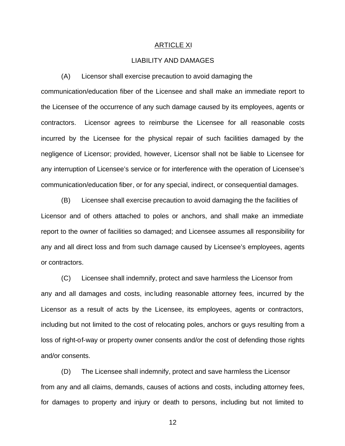#### ARTICLE XI

#### LIABILITY AND DAMAGES

(A) Licensor shall exercise precaution to avoid damaging the

communication/education fiber of the Licensee and shall make an immediate report to the Licensee of the occurrence of any such damage caused by its employees, agents or contractors. Licensor agrees to reimburse the Licensee for all reasonable costs incurred by the Licensee for the physical repair of such facilities damaged by the negligence of Licensor; provided, however, Licensor shall not be liable to Licensee for any interruption of Licensee's service or for interference with the operation of Licensee's communication/education fiber, or for any special, indirect, or consequential damages.

(B) Licensee shall exercise precaution to avoid damaging the the facilities of Licensor and of others attached to poles or anchors, and shall make an immediate report to the owner of facilities so damaged; and Licensee assumes all responsibility for any and all direct loss and from such damage caused by Licensee's employees, agents or contractors.

(C) Licensee shall indemnify, protect and save harmless the Licensor from any and all damages and costs, inc luding reasonable attorney fees, incurred by the Licensor as a result of acts by the Licensee, its employees, agents or contractors, including but not limited to the cost of relocating poles, anchors or guys resulting from a loss of right-of-way or property owner consents and/or the cost of defending those rights and/or consents.

(D) The Licensee shall indemnify, protect and save harmless the Licensor from any and all claims, demands, causes of actions and costs, including attorney fees, for damages to property and injury or death to persons, including but not limited to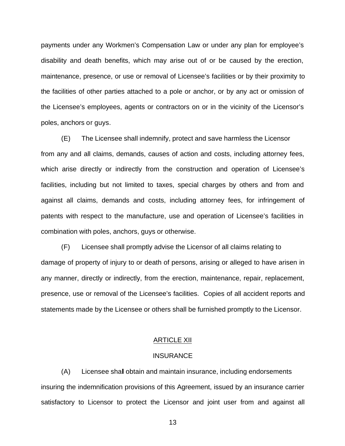payments under any Workmen's Compensation Law or under any plan for employee's disability and death benefits, which may arise out of or be caused by the erection, maintenance, presence, or use or removal of Licensee's facilities or by their proximity to the facilities of other parties attached to a pole or anchor, or by any act or omission of the Licensee's employees, agents or contractors on or in the vicinity of the Licensor's poles, anchors or guys.

(E) The Licensee shall indemnify, protect and save harmless the Licensor from any and all claims, demands, causes of action and costs, including attorney fees, which arise directly or indirectly from the construction and operation of Licensee's facilities, including but not limited to taxes, special charges by others and from and against all claims, demands and costs, including attorney fees, for infringement of patents with respect to the manufacture, use and operation of Licensee's facilities in combination with poles, anchors, guys or otherwise.

(F) Licensee shall promptly advise the Licensor of all claims relating to damage of property of injury to or death of persons, arising or alleged to have arisen in any manner, directly or indirectly, from the erection, maintenance, repair, replacement, presence, use or removal of the Licensee's facilities. Copies of all accident reports and statements made by the Licensee or others shall be furnished promptly to the Licensor.

#### ARTICLE XII

#### **INSURANCE**

(A) Licensee shall obtain and maintain insurance, including endorsements insuring the indemnification provisions of this Agreement, issued by an insurance carrier satisfactory to Licensor to protect the Licensor and joint user from and against all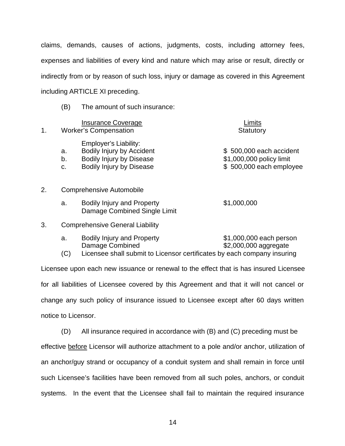claims, demands, causes of actions, judgments, costs, including attorney fees, expenses and liabilities of every kind and nature which may arise or result, directly or indirectly from or by reason of such loss, injury or damage as covered in this Agreement including ARTICLE XI preceding.

(B) The amount of such insurance:

Damage Combined Single Limit

| 1. |                | <b>Insurance Coverage</b><br><b>Worker's Compensation</b>                                                                       | Limits<br>Statutory                                                            |
|----|----------------|---------------------------------------------------------------------------------------------------------------------------------|--------------------------------------------------------------------------------|
|    | a.<br>b.<br>C. | Employer's Liability:<br><b>Bodily Injury by Accident</b><br><b>Bodily Injury by Disease</b><br><b>Bodily Injury by Disease</b> | \$500,000 each accident<br>\$1,000,000 policy limit<br>\$500,000 each employee |
| 2. |                | <b>Comprehensive Automobile</b>                                                                                                 |                                                                                |
|    | a.             | <b>Bodily Injury and Property</b>                                                                                               | \$1,000,000                                                                    |

3. Comprehensive General Liability

| <b>Bodily Injury and Property</b> | \$1,000,000 each person |
|-----------------------------------|-------------------------|
| Damage Combined                   | \$2,000,000 aggregate   |
|                                   |                         |

(C) Licensee shall submit to Licensor certificates by each company insuring

Licensee upon each new issuance or renewal to the effect that is has insured Licensee for all liabilities of Licensee covered by this Agreement and that it will not cancel or change any such policy of insurance issued to Licensee except after 60 days written notice to Licensor.

(D) All insurance required in accordance with (B) and (C) preceding must be effective before Licensor will authorize attachment to a pole and/or anchor, utilization of an anchor/guy strand or occupancy of a conduit system and shall remain in force until such Licensee's facilities have been removed from all such poles, anchors, or conduit systems. In the event that the Licensee shall fail to maintain the required insurance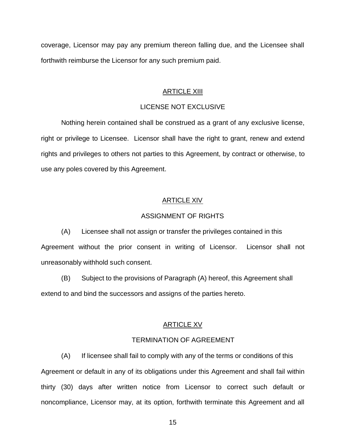coverage, Licensor may pay any premium thereon falling due, and the Licensee shall forthwith reimburse the Licensor for any such premium paid.

#### ARTICLE XIII

#### LICENSE NOT EXCLUSIVE

Nothing herein contained shall be construed as a grant of any exclusive license, right or privilege to Licensee. Licensor shall have the right to grant, renew and extend rights and privileges to others not parties to this Agreement, by contract or otherwise, to use any poles covered by this Agreement.

#### ARTICLE XIV

#### ASSIGNMENT OF RIGHTS

(A) Licensee shall not assign or transfer the privileges contained in this Agreement without the prior consent in writing of Licensor. Licensor shall not unreasonably withhold such consent.

(B) Subject to the provisions of Paragraph (A) hereof, this Agreement shall extend to and bind the successors and assigns of the parties hereto.

#### ARTICLE XV

#### TERMINATION OF AGREEMENT

(A) If licensee shall fail to comply with any of the terms or conditions of this Agreement or default in any of its obligations under this Agreement and shall fail within thirty (30) days after written notice from Licensor to correct such default or noncompliance, Licensor may, at its option, forthwith terminate this Agreement and all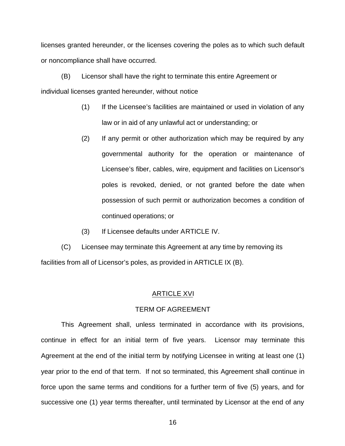licenses granted hereunder, or the licenses covering the poles as to which such default or noncompliance shall have occurred.

(B) Licensor shall have the right to terminate this entire Agreement or individual licenses granted hereunder, without notice

- (1) If the Licensee's facilities are maintained or used in violation of any law or in aid of any unlawful act or understanding; or
- (2) If any permit or other authorization which may be required by any governmental authority for the operation or maintenance of Licensee's fiber, cables, wire, equipment and facilities on Licensor's poles is revoked, denied, or not granted before the date when possession of such permit or authorization becomes a condition of continued operations; or
- (3) If Licensee defaults under ARTICLE IV.

(C) Licensee may terminate this Agreement at any time by removing its facilities from all of Licensor's poles, as provided in ARTICLE IX (B).

#### ARTICLE XVI

#### TERM OF AGREEMENT

This Agreement shall, unless terminated in accordance with its provisions, continue in effect for an initial term of five years. Licensor may terminate this Agreement at the end of the initial term by notifying Licensee in writing at least one (1) year prior to the end of that term. If not so terminated, this Agreement shall continue in force upon the same terms and conditions for a further term of five (5) years, and for successive one (1) year terms thereafter, until terminated by Licensor at the end of any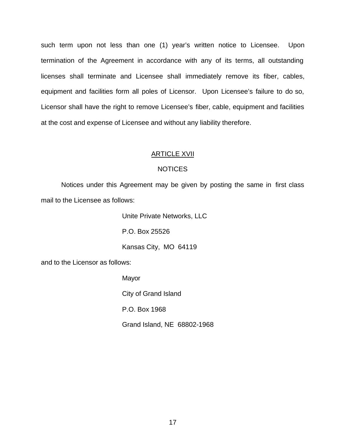such term upon not less than one (1) year's written notice to Licensee. Upon termination of the Agreement in accordance with any of its terms, all outstanding licenses shall terminate and Licensee shall immediately remove its fiber, cables, equipment and facilities form all poles of Licensor. Upon Licensee's failure to do so, Licensor shall have the right to remove Licensee's fiber, cable, equipment and facilities at the cost and expense of Licensee and without any liability therefore.

#### ARTICLE XVII

#### **NOTICES**

Notices under this Agreement may be given by posting the same in first class mail to the Licensee as follows:

Unite Private Networks, LLC

P.O. Box 25526

Kansas City, MO 64119

and to the Licensor as follows:

Mayor

City of Grand Island

P.O. Box 1968

Grand Island, NE 68802-1968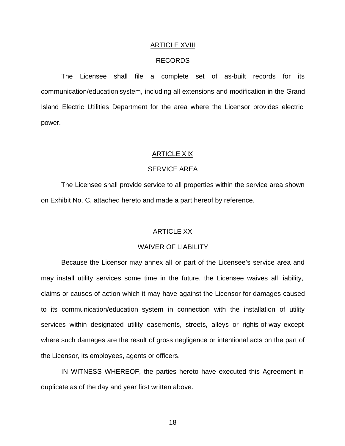#### ARTICLE XVIII

#### RECORDS

The Licensee shall file a complete set of as-built records for its communication/education system, including all extensions and modification in the Grand Island Electric Utilities Department for the area where the Licensor provides electric power.

#### ARTICLE XIX

#### SERVICE AREA

The Licensee shall provide service to all properties within the service area shown on Exhibit No. C, attached hereto and made a part hereof by reference.

#### ARTICLE XX

#### WAIVER OF LIABILITY

Because the Licensor may annex all or part of the Licensee's service area and may install utility services some time in the future, the Licensee waives all liability, claims or causes of action which it may have against the Licensor for damages caused to its communication/education system in connection with the installation of utility services within designated utility easements, streets, alleys or rights-of-way except where such damages are the result of gross negligence or intentional acts on the part of the Licensor, its employees, agents or officers.

IN WITNESS WHEREOF, the parties hereto have executed this Agreement in duplicate as of the day and year first written above.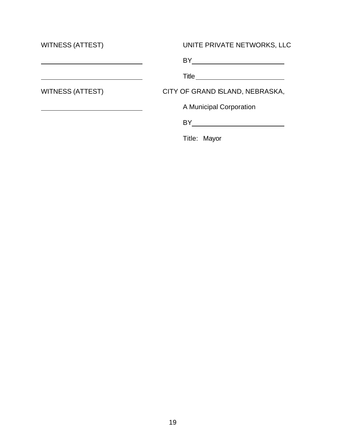| <b>WITNESS (ATTEST)</b> | UNITE PRIVATE NETWORKS, LLC       |
|-------------------------|-----------------------------------|
|                         |                                   |
|                         | Title <u>____________________</u> |
| <b>WITNESS (ATTEST)</b> | CITY OF GRAND ISLAND, NEBRASKA,   |
|                         | A Municipal Corporation           |
|                         | BY.                               |
|                         | Title: Mayor                      |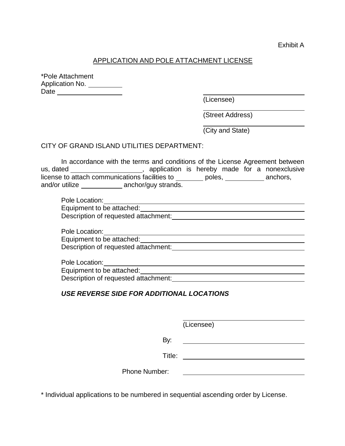#### APPLICATION AND POLE ATTACHMENT LICENSE

\*Pole Attachment Application No. \_\_\_\_\_\_\_\_ Date

(Licensee)

(Street Address)

(City and State)

#### CITY OF GRAND ISLAND UTILITIES DEPARTMENT:

In accordance with the terms and conditions of the License Agreement between us, dated \_\_\_\_\_\_\_\_\_\_\_\_\_\_\_\_\_\_\_\_\_, application is hereby made for a nonexclusive license to attach communications facilities to \_\_\_\_\_\_\_ poles, \_\_\_\_\_\_\_\_\_ anchors, and/or utilize anchor/guy strands.

| Pole Location:                       |  |
|--------------------------------------|--|
| Equipment to be attached:            |  |
| Description of requested attachment: |  |

Pole Location: The contract of the contract of the contract of the contract of the contract of the contract of the contract of the contract of the contract of the contract of the contract of the contract of the contract of Equipment to be attached: Description of requested attachment:

Pole Location: Equipment to be attached: Description of requested attachment:

#### *USE REVERSE SIDE FOR ADDITIONAL LOCATIONS*

(Licensee)

By: 

Title: **The Community of the Community of the Community of the Community of the Community of the Community of the Community of the Community of the Community of the Community of the Community of the Community of the Commun** 

Phone Number:

\* Individual applications to be numbered in sequential ascending order by License.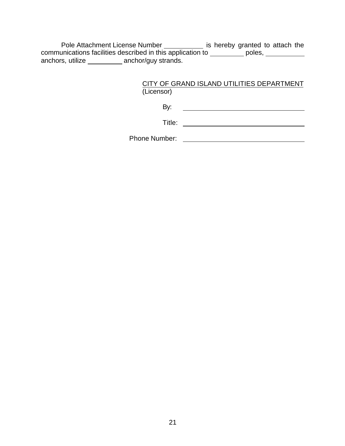Pole Attachment License Number \_\_\_\_\_\_\_\_\_\_\_\_ is hereby granted to attach the communications facilities described in this application to  $\_\_\_\_\_\_$  poles, anchors, utilize \_\_\_\_\_\_\_\_\_ anchor/guy strands.

### CITY OF GRAND ISLAND UTILITIES DEPARTMENT (Licensor)

By: <u> Alexandria de la contrada de la contrada de la contrada de la contrada de la contrada de la contrada de la c</u>

Title:

Phone Number: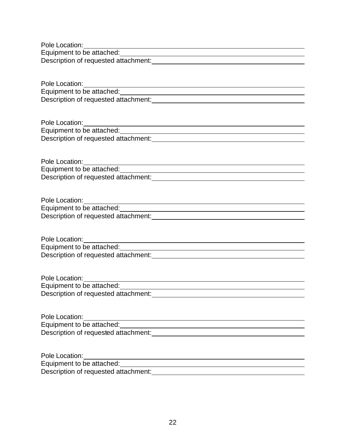| Pole Location:                       |  |
|--------------------------------------|--|
| Equipment to be attached:            |  |
| Description of requested attachment: |  |

| Pole Location:                       |  |
|--------------------------------------|--|
| Equipment to be attached:            |  |
| Description of requested attachment: |  |

| Pole Location:                       |  |
|--------------------------------------|--|
| Equipment to be attached:            |  |
| Description of requested attachment: |  |

Pole Location: Equipment to be attached: Description of requested attachment: Description of requested attachment:

| Pole Location:                       |  |
|--------------------------------------|--|
| Equipment to be attached:            |  |
| Description of requested attachment: |  |

| Pole Location:                       |  |
|--------------------------------------|--|
| Equipment to be attached:            |  |
| Description of requested attachment: |  |

| Pole Location:                       |  |
|--------------------------------------|--|
| Equipment to be attached:            |  |
| Description of requested attachment: |  |

| Pole Location:                       |  |
|--------------------------------------|--|
| Equipment to be attached:            |  |
| Description of requested attachment: |  |

| Pole Location:                       |  |
|--------------------------------------|--|
| Equipment to be attached:            |  |
| Description of requested attachment: |  |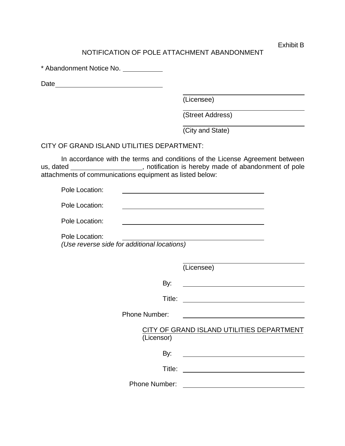Exhibit B

### NOTIFICATION OF POLE ATTACHMENT ABANDONMENT

\* Abandonment Notice No.

Date <u>\_\_\_\_\_\_\_\_\_\_\_\_\_\_\_\_\_\_\_\_\_\_\_\_\_</u>

(Licensee)

(Street Address)

(City and State)

#### CITY OF GRAND ISLAND UTILITIES DEPARTMENT:

In accordance with the terms and conditions of the License Agreement between us, dated \_\_\_\_\_\_\_\_\_\_\_\_\_\_\_\_\_\_\_, notification is hereby made of abandonment of pole attachments of communications equipment as listed below:

| Pole Location: |  |
|----------------|--|
| Pole Location: |  |
| Pole Location: |  |

Pole Location: *(Use reverse side for additional locations)*

(Licensee)

By: 

Title:

Phone Number:

CITY OF GRAND ISLAND UTILITIES DEPARTMENT (Licensor)

Title:

By:

Phone Number: <u>\_\_\_\_\_\_\_\_\_\_\_\_\_\_\_\_\_\_\_\_\_\_\_\_\_\_\_</u>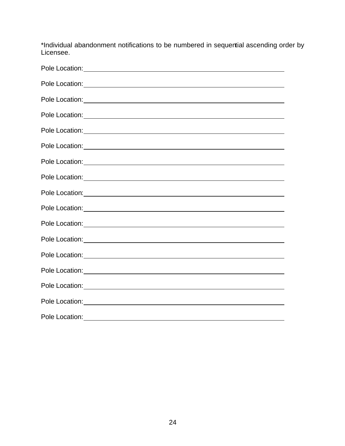\*Individual abandonment notifications to be numbered in sequential ascending order by Licensee.

| Pole Location: <u>contract and the contract of the contract of the contract of the contract of the contract of the contract of the contract of the contract of the contract of the contract of the contract of the contract of t</u> |
|--------------------------------------------------------------------------------------------------------------------------------------------------------------------------------------------------------------------------------------|
|                                                                                                                                                                                                                                      |
|                                                                                                                                                                                                                                      |
|                                                                                                                                                                                                                                      |
|                                                                                                                                                                                                                                      |
|                                                                                                                                                                                                                                      |
| Pole Location: <u>New York: New York: New York: New York: New York: New York: New York: New York: New York: New York: New York: New York: New York: New York: New York: New York: New York: New York: New York: New York: New Yo</u> |
| Pole Location: <u>contract and contract and contract and contract and contract and contract and contract and contract and contract and contract and contract and contract and contract and contract and contract and contract an</u> |
| Pole Location:                                                                                                                                                                                                                       |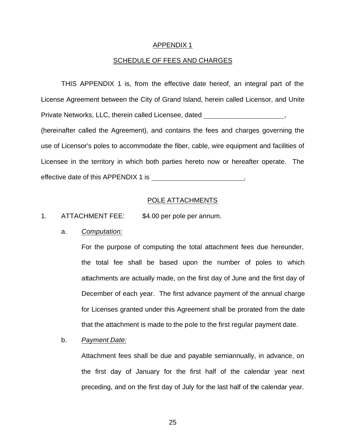#### APPENDIX 1

#### SCHEDULE OF FEES AND CHARGES

THIS APPENDIX 1 is, from the effective date hereof, an integral part of the License Agreement between the City of Grand Island, herein called Licensor, and Unite Private Networks, LLC, therein called Licensee, dated  $\blacksquare$ , (hereinafter called the Agreement), and contains the fees and charges governing the use of Licensor's poles to accommodate the fiber, cable, wire equipment and facilities of Licensee in the territory in which both parties hereto now or hereafter operate. The effective date of this APPENDIX 1 is .

#### POLE ATTACHMENTS

#### 1. ATTACHMENT FEE: \$4.00 per pole per annum.

#### a. *Computation:*

For the purpose of computing the total attachment fees due hereunder, the total fee shall be based upon the number of poles to which attachments are actually made, on the first day of June and the first day of December of each year. The first advance payment of the annual charge for Licenses granted under this Agreement shall be prorated from the date that the attachment is made to the pole to the first regular payment date.

#### b. *Payment Date:*

Attachment fees shall be due and payable semiannually, in advance, on the first day of January for the first half of the calendar year next preceding, and on the first day of July for the last half of the calendar year.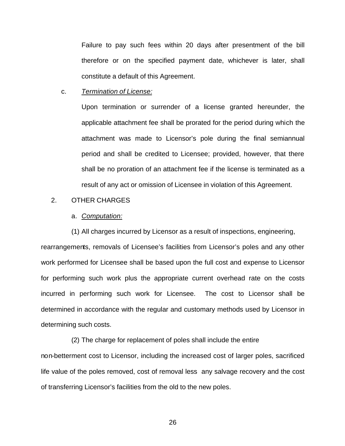Failure to pay such fees within 20 days after presentment of the bill therefore or on the specified payment date, whichever is later, shall constitute a default of this Agreement.

c. *Termination of License:*

Upon termination or surrender of a license granted hereunder, the applicable attachment fee shall be prorated for the period during which the attachment was made to Licensor's pole during the final semiannual period and shall be credited to Licensee; provided, however, that there shall be no proration of an attachment fee if the license is terminated as a result of any act or omission of Licensee in violation of this Agreement.

#### 2. OTHER CHARGES

#### a. *Computation:*

(1) All charges incurred by Licensor as a result of inspections, engineering, rearrangements, removals of Licensee's facilities from Licensor's poles and any other work performed for Licensee shall be based upon the full cost and expense to Licensor for performing such work plus the appropriate current overhead rate on the costs incurred in performing such work for Licensee. The cost to Licensor shall be determined in accordance with the regular and customary methods used by Licensor in determining such costs.

(2) The charge for replacement of poles shall include the entire non-betterment cost to Licensor, including the increased cost of larger poles, sacrificed life value of the poles removed, cost of removal less any salvage recovery and the cost of transferring Licensor's facilities from the old to the new poles.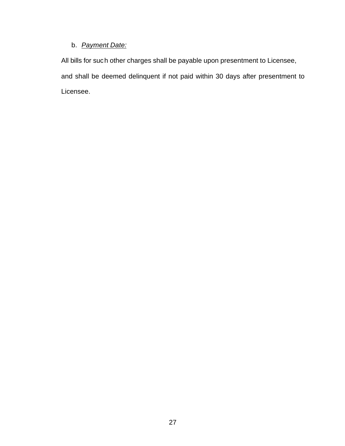### b. *Payment Date:*

All bills for such other charges shall be payable upon presentment to Licensee, and shall be deemed delinquent if not paid within 30 days after presentment to Licensee.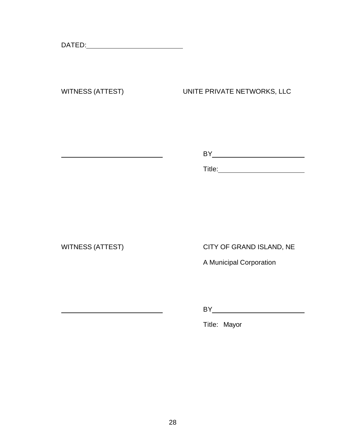DATED:

<u> 1980 - Johann Barbara, martin a</u>

<u> 1980 - Johann Barbara, martxa alemaniar a</u>

## WITNESS (ATTEST) UNITE PRIVATE NETWORKS, LLC

BY

Title:

WITNESS (ATTEST) CITY OF GRAND ISLAND, NE

A Municipal Corporation

BY

Title: Mayor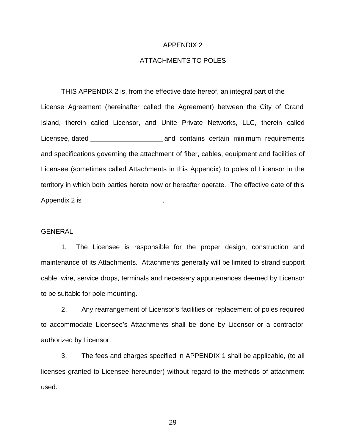#### APPENDIX 2

#### ATTACHMENTS TO POLES

THIS APPENDIX 2 is, from the effective date hereof, an integral part of the License Agreement (hereinafter called the Agreement) between the City of Grand Island, therein called Licensor, and Unite Private Networks, LLC, therein called Licensee, dated and contains certain minimum requirements and specifications governing the attachment of fiber, cables, equipment and facilities of Licensee (sometimes called Attachments in this Appendix) to poles of Licensor in the territory in which both parties hereto now or hereafter operate. The effective date of this Appendix 2 is \_\_\_\_\_\_\_\_\_\_\_\_\_\_\_\_\_\_\_\_\_\_\_.

#### GENERAL

1. The Licensee is responsible for the proper design, construction and maintenance of its Attachments. Attachments generally will be limited to strand support cable, wire, service drops, terminals and necessary appurtenances deemed by Licensor to be suitable for pole mounting.

2. Any rearrangement of Licensor's facilities or replacement of poles required to accommodate Licensee's Attachments shall be done by Licensor or a contractor authorized by Licensor.

3. The fees and charges specified in APPENDIX 1 shall be applicable, (to all licenses granted to Licensee hereunder) without regard to the methods of attachment used.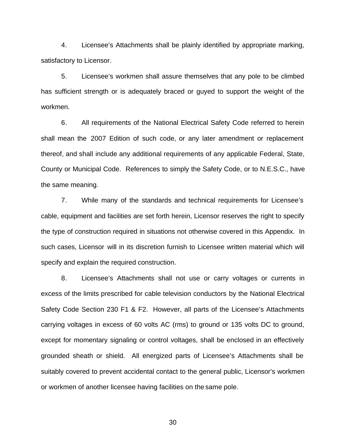4. Licensee's Attachments shall be plainly identified by appropriate marking, satisfactory to Licensor.

5. Licensee's workmen shall assure themselves that any pole to be climbed has sufficient strength or is adequately braced or guyed to support the weight of the workmen.

6. All requirements of the National Electrical Safety Code referred to herein shall mean the 2007 Edition of such code, or any later amendment or replacement thereof, and shall include any additional requirements of any applicable Federal, State, County or Municipal Code. References to simply the Safety Code, or to N.E.S.C., have the same meaning.

7. While many of the standards and technical requirements for Licensee's cable, equipment and facilities are set forth herein, Licensor reserves the right to specify the type of construction required in situations not otherwise covered in this Appendix. In such cases, Licensor will in its discretion furnish to Licensee written material which will specify and explain the required construction.

8. Licensee's Attachments shall not use or carry voltages or currents in excess of the limits prescribed for cable television conductors by the National Electrical Safety Code Section 230 F1 & F2. However, all parts of the Licensee's Attachments carrying voltages in excess of 60 volts AC (rms) to ground or 135 volts DC to ground, except for momentary signaling or control voltages, shall be enclosed in an effectively grounded sheath or shield. All energized parts of Licensee's Attachments shall be suitably covered to prevent accidental contact to the general public, Licensor's workmen or workmen of another licensee having facilities on the same pole.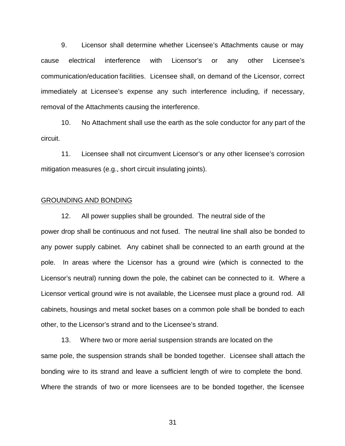9. Licensor shall determine whether Licensee's Attachments cause or may cause electrical interference with Licensor's or any other Licensee's communication/education facilities. Licensee shall, on demand of the Licensor, correct immediately at Licensee's expense any such interference including, if necessary, removal of the Attachments causing the interference.

10. No Attachment shall use the earth as the sole conductor for any part of the circuit.

11. Licensee shall not circumvent Licensor's or any other licensee's corrosion mitigation measures (e.g., short circuit insulating joints).

#### GROUNDING AND BONDING

12. All power supplies shall be grounded. The neutral side of the power drop shall be continuous and not fused. The neutral line shall also be bonded to any power supply cabinet. Any cabinet shall be connected to an earth ground at the pole. In areas where the Licensor has a ground wire (which is connected to the Licensor's neutral) running down the pole, the cabinet can be connected to it. Where a Licensor vertical ground wire is not available, the Licensee must place a ground rod. All cabinets, housings and metal socket bases on a common pole shall be bonded to each other, to the Licensor's strand and to the Licensee's strand.

13. Where two or more aerial suspension strands are located on the same pole, the suspension strands shall be bonded together. Licensee shall attach the bonding wire to its strand and leave a sufficient length of wire to complete the bond. Where the strands of two or more licensees are to be bonded together, the licensee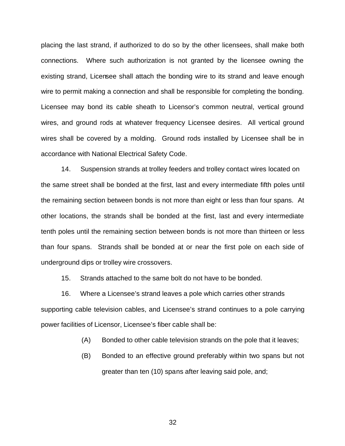placing the last strand, if authorized to do so by the other licensees, shall make both connections. Where such authorization is not granted by the licensee owning the existing strand, Licensee shall attach the bonding wire to its strand and leave enough wire to permit making a connection and shall be responsible for completing the bonding. Licensee may bond its cable sheath to Licensor's common neutral, vertical ground wires, and ground rods at whatever frequency Licensee desires. All vertical ground wires shall be covered by a molding. Ground rods installed by Licensee shall be in accordance with National Electrical Safety Code.

14. Suspension strands at trolley feeders and trolley contact wires located on the same street shall be bonded at the first, last and every intermediate fifth poles until the remaining section between bonds is not more than eight or less than four spans. At other locations, the strands shall be bonded at the first, last and every intermediate tenth poles until the remaining section between bonds is not more than thirteen or less than four spans. Strands shall be bonded at or near the first pole on each side of underground dips or trolley wire crossovers.

15. Strands attached to the same bolt do not have to be bonded.

16. Where a Licensee's strand leaves a pole which carries other strands supporting cable television cables, and Licensee's strand continues to a pole carrying power facilities of Licensor, Licensee's fiber cable shall be:

- (A) Bonded to other cable television strands on the pole that it leaves;
- (B) Bonded to an effective ground preferably within two spans but not greater than ten (10) spans after leaving said pole, and;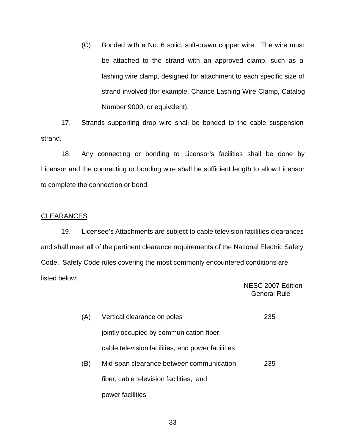(C) Bonded with a No. 6 solid, soft-drawn copper wire. The wire must be attached to the strand with an approved clamp, such as a lashing wire clamp, designed for attachment to each specific size of strand involved (for example, Chance Lashing Wire Clamp, Catalog Number 9000, or equivalent).

17. Strands supporting drop wire shall be bonded to the cable suspension strand.

18. Any connecting or bonding to Licensor's facilities shall be done by Licensor and the connecting or bonding wire shall be sufficient length to allow Licensor to complete the connection or bond.

#### CLEARANCES

19. Licensee's Attachments are subject to cable television facilities clearances and shall meet all of the pertinent clearance requirements of the National Electric Safety Code. Safety Code rules covering the most commonly encountered conditions are listed below:

|     |                                                   | NESC 2007 Edition<br><b>General Rule</b> |
|-----|---------------------------------------------------|------------------------------------------|
|     |                                                   |                                          |
| (A) | Vertical clearance on poles                       | 235                                      |
|     | jointly occupied by communication fiber,          |                                          |
|     | cable television facilities, and power facilities |                                          |
| (B) | Mid-span clearance between communication          | 235                                      |
|     | fiber, cable television facilities, and           |                                          |
|     | power facilities                                  |                                          |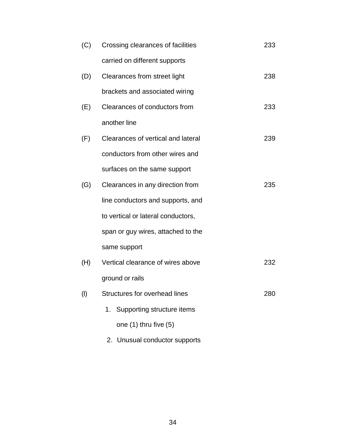| (C) | Crossing clearances of facilities  | 233 |
|-----|------------------------------------|-----|
|     | carried on different supports      |     |
| (D) | Clearances from street light       | 238 |
|     | brackets and associated wiring     |     |
| (E) | Clearances of conductors from      | 233 |
|     | another line                       |     |
| (F) | Clearances of vertical and lateral | 239 |
|     | conductors from other wires and    |     |
|     | surfaces on the same support       |     |
| (G) | Clearances in any direction from   | 235 |
|     | line conductors and supports, and  |     |
|     | to vertical or lateral conductors, |     |
|     | span or guy wires, attached to the |     |
|     | same support                       |     |
| (H) | Vertical clearance of wires above  | 232 |
|     | ground or rails                    |     |
| (1) | Structures for overhead lines      | 280 |
|     | Supporting structure items<br>1.   |     |
|     | one $(1)$ thru five $(5)$          |     |
|     |                                    |     |

2. Unusual conductor supports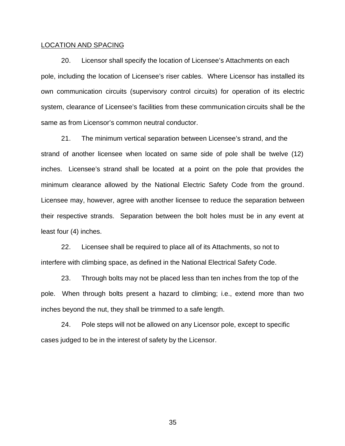#### LOCATION AND SPACING

20. Licensor shall specify the location of Licensee's Attachments on each pole, including the location of Licensee's riser cables. Where Licensor has installed its own communication circuits (supervisory control circuits) for operation of its electric system, clearance of Licensee's facilities from these communication circuits shall be the same as from Licensor's common neutral conductor.

21. The minimum vertical separation between Licensee's strand, and the strand of another licensee when located on same side of pole shall be twelve (12) inches. Licensee's strand shall be located at a point on the pole that provides the minimum clearance allowed by the National Electric Safety Code from the ground. Licensee may, however, agree with another licensee to reduce the separation between their respective strands. Separation between the bolt holes must be in any event at least four (4) inches.

22. Licensee shall be required to place all of its Attachments, so not to interfere with climbing space, as defined in the National Electrical Safety Code.

23. Through bolts may not be placed less than ten inches from the top of the pole. When through bolts present a hazard to climbing; i.e., extend more than two inches beyond the nut, they shall be trimmed to a safe length.

24. Pole steps will not be allowed on any Licensor pole, except to specific cases judged to be in the interest of safety by the Licensor.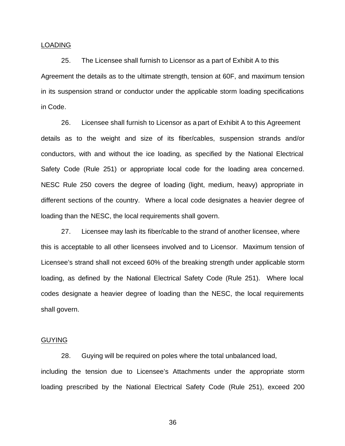#### LOADING

25. The Licensee shall furnish to Licensor as a part of Exhibit A to this Agreement the details as to the ultimate strength, tension at 60F, and maximum tension in its suspension strand or conductor under the applicable storm loading specifications in Code.

26. Licensee shall furnish to Licensor as a part of Exhibit A to this Agreement details as to the weight and size of its fiber/cables, suspension strands and/or conductors, with and without the ice loading, as specified by the National Electrical Safety Code (Rule 251) or appropriate local code for the loading area concerned. NESC Rule 250 covers the degree of loading (light, medium, heavy) appropriate in different sections of the country. Where a local code designates a heavier degree of loading than the NESC, the local requirements shall govern.

27. Licensee may lash its fiber/cable to the strand of another licensee, where this is acceptable to all other licensees involved and to Licensor. Maximum tension of Licensee's strand shall not exceed 60% of the breaking strength under applicable storm loading, as defined by the National Electrical Safety Code (Rule 251). Where local codes designate a heavier degree of loading than the NESC, the local requirements shall govern.

#### GUYING

28. Guying will be required on poles where the total unbalanced load, including the tension due to Licensee's Attachments under the appropriate storm loading prescribed by the National Electrical Safety Code (Rule 251), exceed 200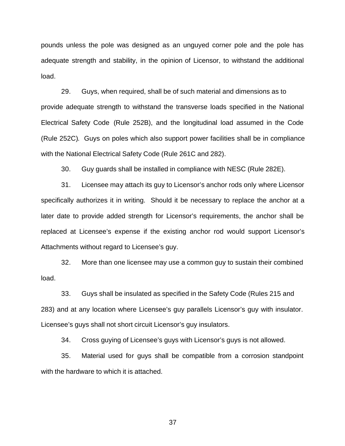pounds unless the pole was designed as an unguyed corner pole and the pole has adequate strength and stability, in the opinion of Licensor, to withstand the additional load.

29. Guys, when required, shall be of such material and dimensions as to provide adequate strength to withstand the transverse loads specified in the National Electrical Safety Code (Rule 252B), and the longitudinal load assumed in the Code (Rule 252C). Guys on poles which also support power facilities shall be in compliance with the National Electrical Safety Code (Rule 261C and 282).

30. Guy guards shall be installed in compliance with NESC (Rule 282E).

31. Licensee may attach its guy to Licensor's anchor rods only where Licensor specifically authorizes it in writing. Should it be necessary to replace the anchor at a later date to provide added strength for Licensor's requirements, the anchor shall be replaced at Licensee's expense if the existing anchor rod would support Licensor's Attachments without regard to Licensee's guy.

32. More than one licensee may use a common guy to sustain their combined load.

33. Guys shall be insulated as specified in the Safety Code (Rules 215 and 283) and at any location where Licensee's guy parallels Licensor's guy with insulator. Licensee's guys shall not short circuit Licensor's guy insulators.

34. Cross guying of Licensee's guys with Licensor's guys is not allowed.

35. Material used for guys shall be compatible from a corrosion standpoint with the hardware to which it is attached.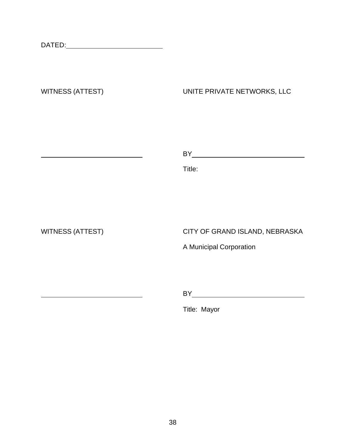<u> 1980 - Johann Barbara, martxa a</u>

## WITNESS (ATTEST) UNITE PRIVATE NETWORKS, LLC

BY

Title:

WITNESS (ATTEST) CITY OF GRAND ISLAND, NEBRASKA

A Municipal Corporation

BY

Title: Mayor